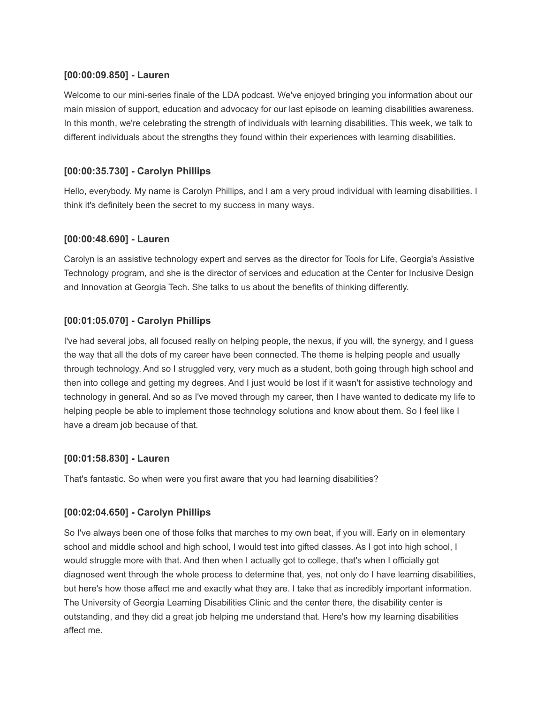## **[00:00:09.850] - Lauren**

Welcome to our mini-series finale of the LDA podcast. We've enjoyed bringing you information about our main mission of support, education and advocacy for our last episode on learning disabilities awareness. In this month, we're celebrating the strength of individuals with learning disabilities. This week, we talk to different individuals about the strengths they found within their experiences with learning disabilities.

# **[00:00:35.730] - Carolyn Phillips**

Hello, everybody. My name is Carolyn Phillips, and I am a very proud individual with learning disabilities. I think it's definitely been the secret to my success in many ways.

# **[00:00:48.690] - Lauren**

Carolyn is an assistive technology expert and serves as the director for Tools for Life, Georgia's Assistive Technology program, and she is the director of services and education at the Center for Inclusive Design and Innovation at Georgia Tech. She talks to us about the benefits of thinking differently.

# **[00:01:05.070] - Carolyn Phillips**

I've had several jobs, all focused really on helping people, the nexus, if you will, the synergy, and I guess the way that all the dots of my career have been connected. The theme is helping people and usually through technology. And so I struggled very, very much as a student, both going through high school and then into college and getting my degrees. And I just would be lost if it wasn't for assistive technology and technology in general. And so as I've moved through my career, then I have wanted to dedicate my life to helping people be able to implement those technology solutions and know about them. So I feel like I have a dream job because of that.

# **[00:01:58.830] - Lauren**

That's fantastic. So when were you first aware that you had learning disabilities?

# **[00:02:04.650] - Carolyn Phillips**

So I've always been one of those folks that marches to my own beat, if you will. Early on in elementary school and middle school and high school, I would test into gifted classes. As I got into high school, I would struggle more with that. And then when I actually got to college, that's when I officially got diagnosed went through the whole process to determine that, yes, not only do I have learning disabilities, but here's how those affect me and exactly what they are. I take that as incredibly important information. The University of Georgia Learning Disabilities Clinic and the center there, the disability center is outstanding, and they did a great job helping me understand that. Here's how my learning disabilities affect me.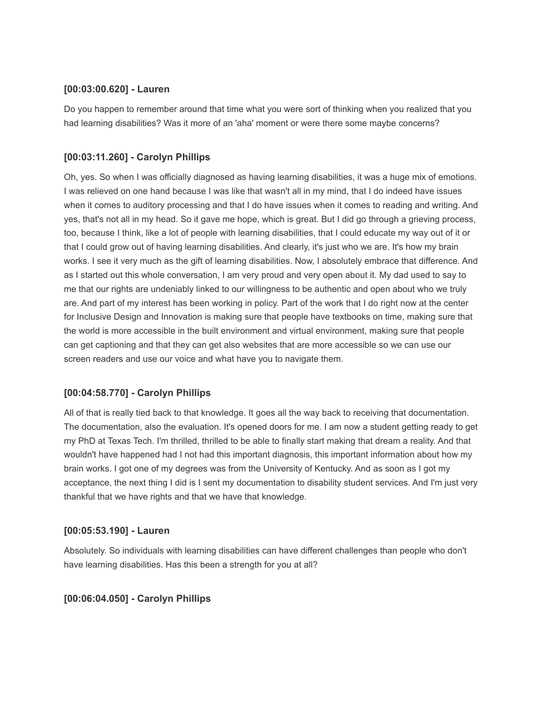#### **[00:03:00.620] - Lauren**

Do you happen to remember around that time what you were sort of thinking when you realized that you had learning disabilities? Was it more of an 'aha' moment or were there some maybe concerns?

## **[00:03:11.260] - Carolyn Phillips**

Oh, yes. So when I was officially diagnosed as having learning disabilities, it was a huge mix of emotions. I was relieved on one hand because I was like that wasn't all in my mind, that I do indeed have issues when it comes to auditory processing and that I do have issues when it comes to reading and writing. And yes, that's not all in my head. So it gave me hope, which is great. But I did go through a grieving process, too, because I think, like a lot of people with learning disabilities, that I could educate my way out of it or that I could grow out of having learning disabilities. And clearly, it's just who we are. It's how my brain works. I see it very much as the gift of learning disabilities. Now, I absolutely embrace that difference. And as I started out this whole conversation, I am very proud and very open about it. My dad used to say to me that our rights are undeniably linked to our willingness to be authentic and open about who we truly are. And part of my interest has been working in policy. Part of the work that I do right now at the center for Inclusive Design and Innovation is making sure that people have textbooks on time, making sure that the world is more accessible in the built environment and virtual environment, making sure that people can get captioning and that they can get also websites that are more accessible so we can use our screen readers and use our voice and what have you to navigate them.

### **[00:04:58.770] - Carolyn Phillips**

All of that is really tied back to that knowledge. It goes all the way back to receiving that documentation. The documentation, also the evaluation. It's opened doors for me. I am now a student getting ready to get my PhD at Texas Tech. I'm thrilled, thrilled to be able to finally start making that dream a reality. And that wouldn't have happened had I not had this important diagnosis, this important information about how my brain works. I got one of my degrees was from the University of Kentucky. And as soon as I got my acceptance, the next thing I did is I sent my documentation to disability student services. And I'm just very thankful that we have rights and that we have that knowledge.

### **[00:05:53.190] - Lauren**

Absolutely. So individuals with learning disabilities can have different challenges than people who don't have learning disabilities. Has this been a strength for you at all?

### **[00:06:04.050] - Carolyn Phillips**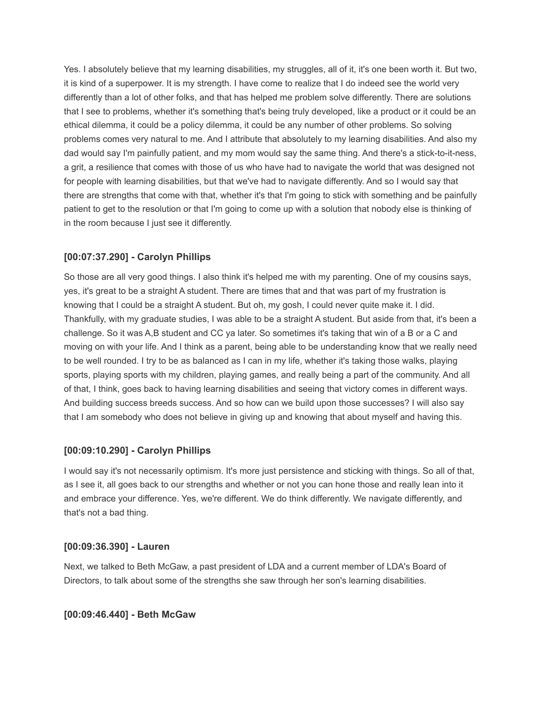Yes. I absolutely believe that my learning disabilities, my struggles, all of it, it's one been worth it. But two, it is kind of a superpower. It is my strength. I have come to realize that I do indeed see the world very differently than a lot of other folks, and that has helped me problem solve differently. There are solutions that I see to problems, whether it's something that's being truly developed, like a product or it could be an ethical dilemma, it could be a policy dilemma, it could be any number of other problems. So solving problems comes very natural to me. And I attribute that absolutely to my learning disabilities. And also my dad would say I'm painfully patient, and my mom would say the same thing. And there's a stick-to-it-ness, a grit, a resilience that comes with those of us who have had to navigate the world that was designed not for people with learning disabilities, but that we've had to navigate differently. And so I would say that there are strengths that come with that, whether it's that I'm going to stick with something and be painfully patient to get to the resolution or that I'm going to come up with a solution that nobody else is thinking of in the room because I just see it differently.

### **[00:07:37.290] - Carolyn Phillips**

So those are all very good things. I also think it's helped me with my parenting. One of my cousins says, yes, it's great to be a straight A student. There are times that and that was part of my frustration is knowing that I could be a straight A student. But oh, my gosh, I could never quite make it. I did. Thankfully, with my graduate studies, I was able to be a straight A student. But aside from that, it's been a challenge. So it was A,B student and CC ya later. So sometimes it's taking that win of a B or a C and moving on with your life. And I think as a parent, being able to be understanding know that we really need to be well rounded. I try to be as balanced as I can in my life, whether it's taking those walks, playing sports, playing sports with my children, playing games, and really being a part of the community. And all of that, I think, goes back to having learning disabilities and seeing that victory comes in different ways. And building success breeds success. And so how can we build upon those successes? I will also say that I am somebody who does not believe in giving up and knowing that about myself and having this.

### **[00:09:10.290] - Carolyn Phillips**

I would say it's not necessarily optimism. It's more just persistence and sticking with things. So all of that, as I see it, all goes back to our strengths and whether or not you can hone those and really lean into it and embrace your difference. Yes, we're different. We do think differently. We navigate differently, and that's not a bad thing.

### **[00:09:36.390] - Lauren**

Next, we talked to Beth McGaw, a past president of LDA and a current member of LDA's Board of Directors, to talk about some of the strengths she saw through her son's learning disabilities.

### **[00:09:46.440] - Beth McGaw**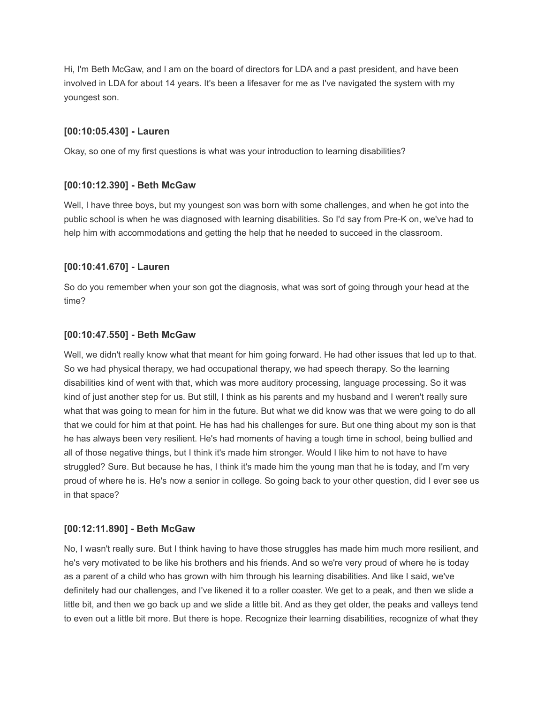Hi, I'm Beth McGaw, and I am on the board of directors for LDA and a past president, and have been involved in LDA for about 14 years. It's been a lifesaver for me as I've navigated the system with my youngest son.

#### **[00:10:05.430] - Lauren**

Okay, so one of my first questions is what was your introduction to learning disabilities?

#### **[00:10:12.390] - Beth McGaw**

Well, I have three boys, but my youngest son was born with some challenges, and when he got into the public school is when he was diagnosed with learning disabilities. So I'd say from Pre-K on, we've had to help him with accommodations and getting the help that he needed to succeed in the classroom.

#### **[00:10:41.670] - Lauren**

So do you remember when your son got the diagnosis, what was sort of going through your head at the time?

#### **[00:10:47.550] - Beth McGaw**

Well, we didn't really know what that meant for him going forward. He had other issues that led up to that. So we had physical therapy, we had occupational therapy, we had speech therapy. So the learning disabilities kind of went with that, which was more auditory processing, language processing. So it was kind of just another step for us. But still, I think as his parents and my husband and I weren't really sure what that was going to mean for him in the future. But what we did know was that we were going to do all that we could for him at that point. He has had his challenges for sure. But one thing about my son is that he has always been very resilient. He's had moments of having a tough time in school, being bullied and all of those negative things, but I think it's made him stronger. Would I like him to not have to have struggled? Sure. But because he has, I think it's made him the young man that he is today, and I'm very proud of where he is. He's now a senior in college. So going back to your other question, did I ever see us in that space?

#### **[00:12:11.890] - Beth McGaw**

No, I wasn't really sure. But I think having to have those struggles has made him much more resilient, and he's very motivated to be like his brothers and his friends. And so we're very proud of where he is today as a parent of a child who has grown with him through his learning disabilities. And like I said, we've definitely had our challenges, and I've likened it to a roller coaster. We get to a peak, and then we slide a little bit, and then we go back up and we slide a little bit. And as they get older, the peaks and valleys tend to even out a little bit more. But there is hope. Recognize their learning disabilities, recognize of what they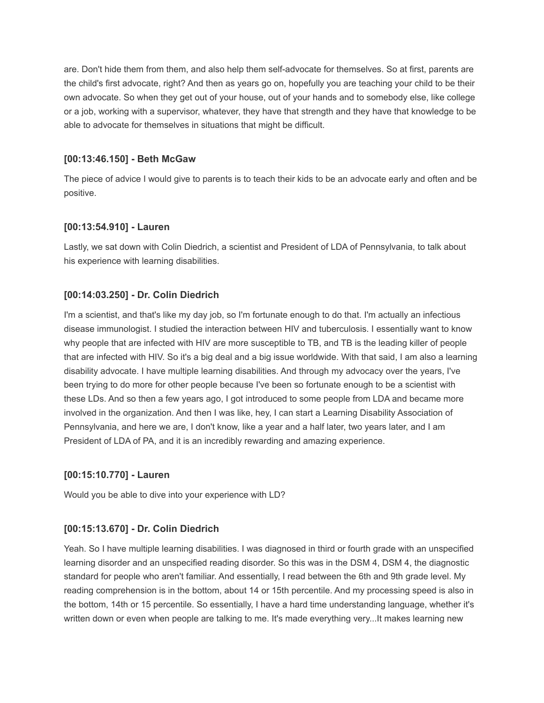are. Don't hide them from them, and also help them self-advocate for themselves. So at first, parents are the child's first advocate, right? And then as years go on, hopefully you are teaching your child to be their own advocate. So when they get out of your house, out of your hands and to somebody else, like college or a job, working with a supervisor, whatever, they have that strength and they have that knowledge to be able to advocate for themselves in situations that might be difficult.

### **[00:13:46.150] - Beth McGaw**

The piece of advice I would give to parents is to teach their kids to be an advocate early and often and be positive.

## **[00:13:54.910] - Lauren**

Lastly, we sat down with Colin Diedrich, a scientist and President of LDA of Pennsylvania, to talk about his experience with learning disabilities.

# **[00:14:03.250] - Dr. Colin Diedrich**

I'm a scientist, and that's like my day job, so I'm fortunate enough to do that. I'm actually an infectious disease immunologist. I studied the interaction between HIV and tuberculosis. I essentially want to know why people that are infected with HIV are more susceptible to TB, and TB is the leading killer of people that are infected with HIV. So it's a big deal and a big issue worldwide. With that said, I am also a learning disability advocate. I have multiple learning disabilities. And through my advocacy over the years, I've been trying to do more for other people because I've been so fortunate enough to be a scientist with these LDs. And so then a few years ago, I got introduced to some people from LDA and became more involved in the organization. And then I was like, hey, I can start a Learning Disability Association of Pennsylvania, and here we are, I don't know, like a year and a half later, two years later, and I am President of LDA of PA, and it is an incredibly rewarding and amazing experience.

# **[00:15:10.770] - Lauren**

Would you be able to dive into your experience with LD?

# **[00:15:13.670] - Dr. Colin Diedrich**

Yeah. So I have multiple learning disabilities. I was diagnosed in third or fourth grade with an unspecified learning disorder and an unspecified reading disorder. So this was in the DSM 4, DSM 4, the diagnostic standard for people who aren't familiar. And essentially, I read between the 6th and 9th grade level. My reading comprehension is in the bottom, about 14 or 15th percentile. And my processing speed is also in the bottom, 14th or 15 percentile. So essentially, I have a hard time understanding language, whether it's written down or even when people are talking to me. It's made everything very...It makes learning new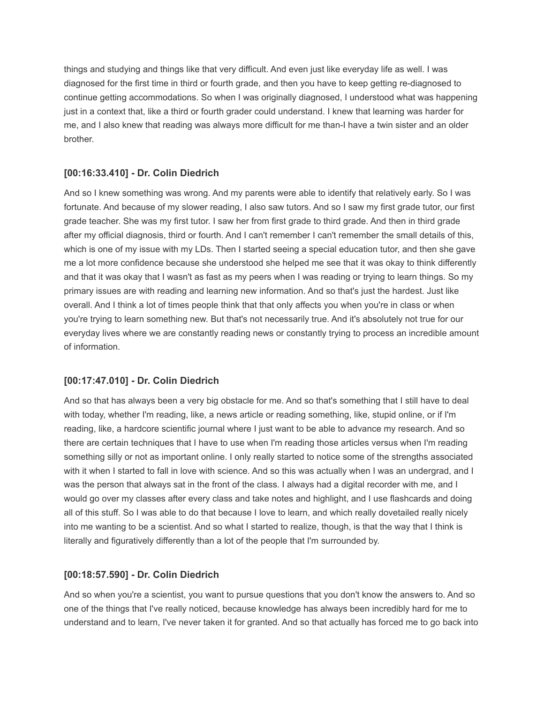things and studying and things like that very difficult. And even just like everyday life as well. I was diagnosed for the first time in third or fourth grade, and then you have to keep getting re-diagnosed to continue getting accommodations. So when I was originally diagnosed, I understood what was happening just in a context that, like a third or fourth grader could understand. I knew that learning was harder for me, and I also knew that reading was always more difficult for me than-I have a twin sister and an older brother.

## **[00:16:33.410] - Dr. Colin Diedrich**

And so I knew something was wrong. And my parents were able to identify that relatively early. So I was fortunate. And because of my slower reading, I also saw tutors. And so I saw my first grade tutor, our first grade teacher. She was my first tutor. I saw her from first grade to third grade. And then in third grade after my official diagnosis, third or fourth. And I can't remember I can't remember the small details of this, which is one of my issue with my LDs. Then I started seeing a special education tutor, and then she gave me a lot more confidence because she understood she helped me see that it was okay to think differently and that it was okay that I wasn't as fast as my peers when I was reading or trying to learn things. So my primary issues are with reading and learning new information. And so that's just the hardest. Just like overall. And I think a lot of times people think that that only affects you when you're in class or when you're trying to learn something new. But that's not necessarily true. And it's absolutely not true for our everyday lives where we are constantly reading news or constantly trying to process an incredible amount of information.

# **[00:17:47.010] - Dr. Colin Diedrich**

And so that has always been a very big obstacle for me. And so that's something that I still have to deal with today, whether I'm reading, like, a news article or reading something, like, stupid online, or if I'm reading, like, a hardcore scientific journal where I just want to be able to advance my research. And so there are certain techniques that I have to use when I'm reading those articles versus when I'm reading something silly or not as important online. I only really started to notice some of the strengths associated with it when I started to fall in love with science. And so this was actually when I was an undergrad, and I was the person that always sat in the front of the class. I always had a digital recorder with me, and I would go over my classes after every class and take notes and highlight, and I use flashcards and doing all of this stuff. So I was able to do that because I love to learn, and which really dovetailed really nicely into me wanting to be a scientist. And so what I started to realize, though, is that the way that I think is literally and figuratively differently than a lot of the people that I'm surrounded by.

### **[00:18:57.590] - Dr. Colin Diedrich**

And so when you're a scientist, you want to pursue questions that you don't know the answers to. And so one of the things that I've really noticed, because knowledge has always been incredibly hard for me to understand and to learn, I've never taken it for granted. And so that actually has forced me to go back into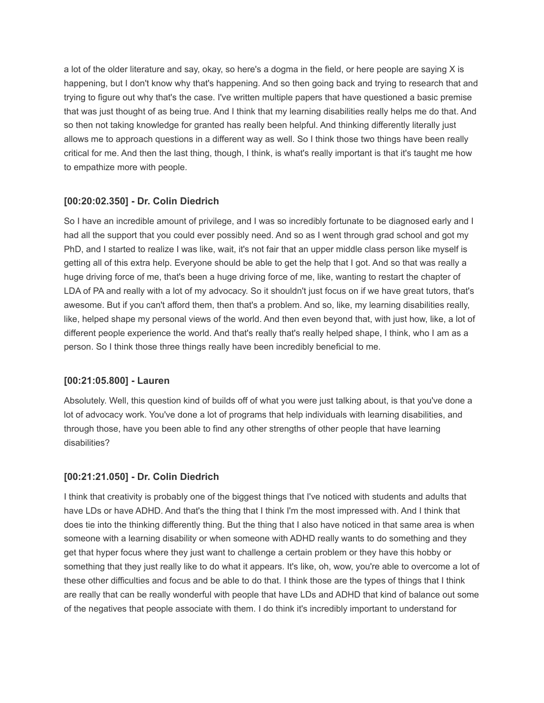a lot of the older literature and say, okay, so here's a dogma in the field, or here people are saying X is happening, but I don't know why that's happening. And so then going back and trying to research that and trying to figure out why that's the case. I've written multiple papers that have questioned a basic premise that was just thought of as being true. And I think that my learning disabilities really helps me do that. And so then not taking knowledge for granted has really been helpful. And thinking differently literally just allows me to approach questions in a different way as well. So I think those two things have been really critical for me. And then the last thing, though, I think, is what's really important is that it's taught me how to empathize more with people.

## **[00:20:02.350] - Dr. Colin Diedrich**

So I have an incredible amount of privilege, and I was so incredibly fortunate to be diagnosed early and I had all the support that you could ever possibly need. And so as I went through grad school and got my PhD, and I started to realize I was like, wait, it's not fair that an upper middle class person like myself is getting all of this extra help. Everyone should be able to get the help that I got. And so that was really a huge driving force of me, that's been a huge driving force of me, like, wanting to restart the chapter of LDA of PA and really with a lot of my advocacy. So it shouldn't just focus on if we have great tutors, that's awesome. But if you can't afford them, then that's a problem. And so, like, my learning disabilities really, like, helped shape my personal views of the world. And then even beyond that, with just how, like, a lot of different people experience the world. And that's really that's really helped shape, I think, who I am as a person. So I think those three things really have been incredibly beneficial to me.

### **[00:21:05.800] - Lauren**

Absolutely. Well, this question kind of builds off of what you were just talking about, is that you've done a lot of advocacy work. You've done a lot of programs that help individuals with learning disabilities, and through those, have you been able to find any other strengths of other people that have learning disabilities?

# **[00:21:21.050] - Dr. Colin Diedrich**

I think that creativity is probably one of the biggest things that I've noticed with students and adults that have LDs or have ADHD. And that's the thing that I think I'm the most impressed with. And I think that does tie into the thinking differently thing. But the thing that I also have noticed in that same area is when someone with a learning disability or when someone with ADHD really wants to do something and they get that hyper focus where they just want to challenge a certain problem or they have this hobby or something that they just really like to do what it appears. It's like, oh, wow, you're able to overcome a lot of these other difficulties and focus and be able to do that. I think those are the types of things that I think are really that can be really wonderful with people that have LDs and ADHD that kind of balance out some of the negatives that people associate with them. I do think it's incredibly important to understand for